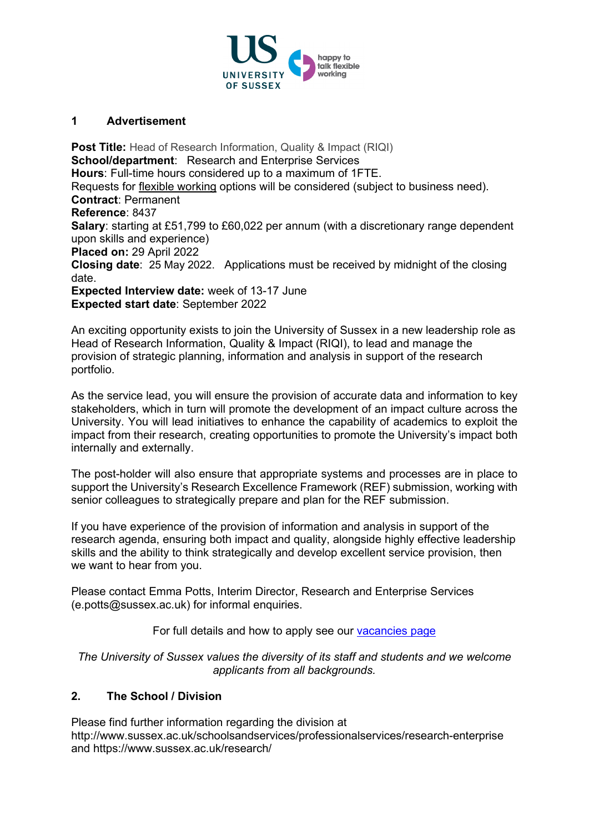

## **1 Advertisement**

**Post Title:** Head of Research Information, Quality & Impact (RIQI) **School/department:** Research and Enterprise Services **Hours**: Full-time hours considered up to a maximum of 1FTE. Requests for [flexible working](http://www.sussex.ac.uk/humanresources/personnel/flexible-working) options will be considered (subject to business need). **Contract**: Permanent **Reference**: 8437 **Salary**: starting at £51,799 to £60,022 per annum (with a discretionary range dependent upon skills and experience) **Placed on:** 29 April 2022 **Closing date**: 25 May 2022. Applications must be received by midnight of the closing date. **Expected Interview date:** week of 13-17 June **Expected start date**: September 2022

An exciting opportunity exists to join the University of Sussex in a new leadership role as Head of Research Information, Quality & Impact (RIQI), to lead and manage the provision of strategic planning, information and analysis in support of the research portfolio.

As the service lead, you will ensure the provision of accurate data and information to key stakeholders, which in turn will promote the development of an impact culture across the University. You will lead initiatives to enhance the capability of academics to exploit the impact from their research, creating opportunities to promote the University's impact both internally and externally.

The post-holder will also ensure that appropriate systems and processes are in place to support the University's Research Excellence Framework (REF) submission, working with senior colleagues to strategically prepare and plan for the REF submission.

If you have experience of the provision of information and analysis in support of the research agenda, ensuring both impact and quality, alongside highly effective leadership skills and the ability to think strategically and develop excellent service provision, then we want to hear from you.

Please contact Emma Potts, Interim Director, Research and Enterprise Services (e.potts@sussex.ac.uk) for informal enquiries.

For full details and how to apply see our [vacancies page](http://www.sussex.ac.uk/about/jobs)

*The University of Sussex values the diversity of its staff and students and we welcome applicants from all backgrounds.*

## **2. The School / Division**

Please find further information regarding the division at http://www.sussex.ac.uk/schoolsandservices/professionalservices/research-enterprise and https://www.sussex.ac.uk/research/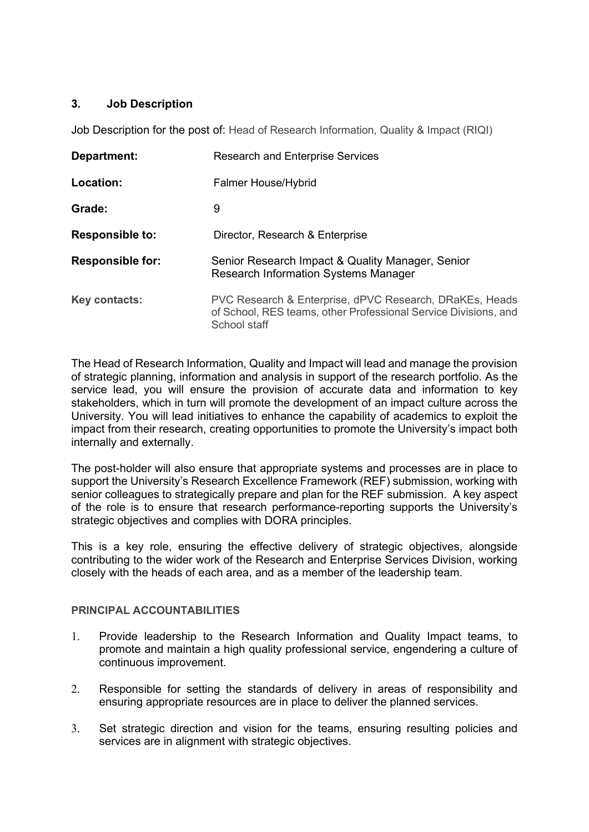# **3. Job Description**

Job Description for the post of: Head of Research Information, Quality & Impact (RIQI)

| Department:             | <b>Research and Enterprise Services</b>                                                                                                    |
|-------------------------|--------------------------------------------------------------------------------------------------------------------------------------------|
| Location:               | <b>Falmer House/Hybrid</b>                                                                                                                 |
| Grade:                  | 9                                                                                                                                          |
| <b>Responsible to:</b>  | Director, Research & Enterprise                                                                                                            |
| <b>Responsible for:</b> | Senior Research Impact & Quality Manager, Senior<br><b>Research Information Systems Manager</b>                                            |
| Key contacts:           | PVC Research & Enterprise, dPVC Research, DRaKEs, Heads<br>of School, RES teams, other Professional Service Divisions, and<br>School staff |

The Head of Research Information, Quality and Impact will lead and manage the provision of strategic planning, information and analysis in support of the research portfolio. As the service lead, you will ensure the provision of accurate data and information to key stakeholders, which in turn will promote the development of an impact culture across the University. You will lead initiatives to enhance the capability of academics to exploit the impact from their research, creating opportunities to promote the University's impact both internally and externally.

The post-holder will also ensure that appropriate systems and processes are in place to support the University's Research Excellence Framework (REF) submission, working with senior colleagues to strategically prepare and plan for the REF submission. A key aspect of the role is to ensure that research performance-reporting supports the University's strategic objectives and complies with DORA principles.

This is a key role, ensuring the effective delivery of strategic objectives, alongside contributing to the wider work of the Research and Enterprise Services Division, working closely with the heads of each area, and as a member of the leadership team.

# **PRINCIPAL ACCOUNTABILITIES**

- 1. Provide leadership to the Research Information and Quality Impact teams, to promote and maintain a high quality professional service, engendering a culture of continuous improvement.
- 2. Responsible for setting the standards of delivery in areas of responsibility and ensuring appropriate resources are in place to deliver the planned services.
- 3. Set strategic direction and vision for the teams, ensuring resulting policies and services are in alignment with strategic objectives.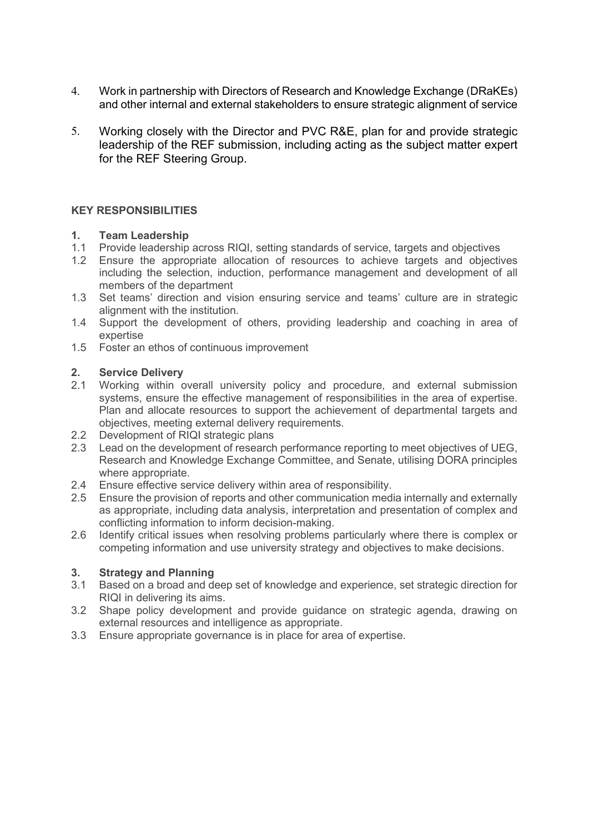- 4. Work in partnership with Directors of Research and Knowledge Exchange (DRaKEs) and other internal and external stakeholders to ensure strategic alignment of service
- 5. Working closely with the Director and PVC R&E, plan for and provide strategic leadership of the REF submission, including acting as the subject matter expert for the REF Steering Group.

## **KEY RESPONSIBILITIES**

## **1. Team Leadership**

- 1.1 Provide leadership across RIQI, setting standards of service, targets and objectives<br>1.2 Ensure the appropriate allocation of resources to achieve targets and objective
- Ensure the appropriate allocation of resources to achieve targets and objectives including the selection, induction, performance management and development of all members of the department
- 1.3 Set teams' direction and vision ensuring service and teams' culture are in strategic alignment with the institution.
- 1.4 Support the development of others, providing leadership and coaching in area of expertise
- 1.5 Foster an ethos of continuous improvement

# **2. Service Delivery**

- 2.1 Working within overall university policy and procedure, and external submission systems, ensure the effective management of responsibilities in the area of expertise. Plan and allocate resources to support the achievement of departmental targets and objectives, meeting external delivery requirements.
- 2.2 Development of RIQI strategic plans
- 2.3 Lead on the development of research performance reporting to meet objectives of UEG, Research and Knowledge Exchange Committee, and Senate, utilising DORA principles where appropriate.
- 2.4 Ensure effective service delivery within area of responsibility.
- 2.5 Ensure the provision of reports and other communication media internally and externally as appropriate, including data analysis, interpretation and presentation of complex and conflicting information to inform decision-making.
- 2.6 Identify critical issues when resolving problems particularly where there is complex or competing information and use university strategy and objectives to make decisions.

## **3. Strategy and Planning**

- 3.1 Based on a broad and deep set of knowledge and experience, set strategic direction for RIQI in delivering its aims.
- 3.2 Shape policy development and provide guidance on strategic agenda, drawing on external resources and intelligence as appropriate.
- 3.3 Ensure appropriate governance is in place for area of expertise.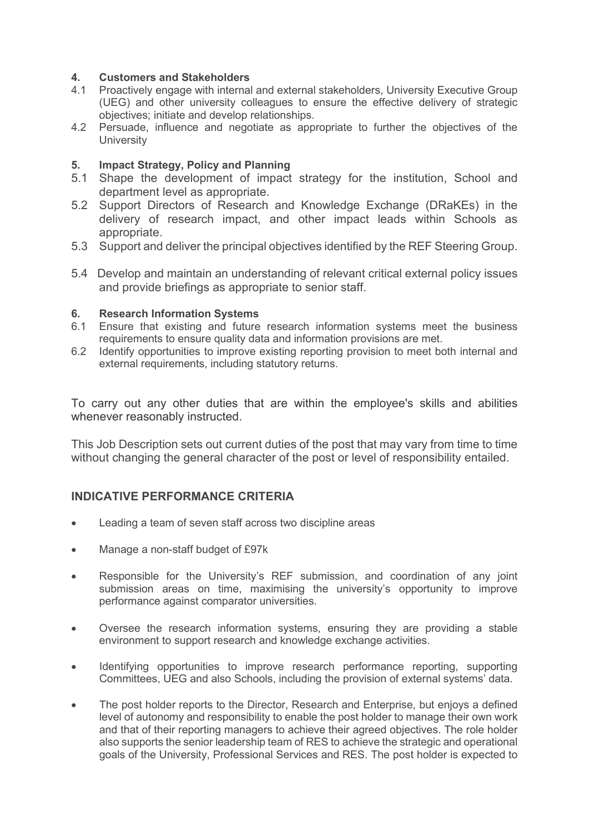## **4. Customers and Stakeholders**

- 4.1 Proactively engage with internal and external stakeholders, University Executive Group (UEG) and other university colleagues to ensure the effective delivery of strategic objectives; initiate and develop relationships.
- 4.2 Persuade, influence and negotiate as appropriate to further the objectives of the **University**

## **5. Impact Strategy, Policy and Planning**

- 5.1 Shape the development of impact strategy for the institution, School and department level as appropriate.
- 5.2 Support Directors of Research and Knowledge Exchange (DRaKEs) in the delivery of research impact, and other impact leads within Schools as appropriate.
- 5.3 Support and deliver the principal objectives identified by the REF Steering Group.
- 5.4 Develop and maintain an understanding of relevant critical external policy issues and provide briefings as appropriate to senior staff.

# **6. Research Information Systems**

- Ensure that existing and future research information systems meet the business requirements to ensure quality data and information provisions are met.
- 6.2 Identify opportunities to improve existing reporting provision to meet both internal and external requirements, including statutory returns.

To carry out any other duties that are within the employee's skills and abilities whenever reasonably instructed.

This Job Description sets out current duties of the post that may vary from time to time without changing the general character of the post or level of responsibility entailed.

# **INDICATIVE PERFORMANCE CRITERIA**

- Leading a team of seven staff across two discipline areas
- Manage a non-staff budget of £97k
- Responsible for the University's REF submission, and coordination of any joint submission areas on time, maximising the university's opportunity to improve performance against comparator universities.
- Oversee the research information systems, ensuring they are providing a stable environment to support research and knowledge exchange activities.
- Identifying opportunities to improve research performance reporting, supporting Committees, UEG and also Schools, including the provision of external systems' data.
- The post holder reports to the Director, Research and Enterprise, but enjoys a defined level of autonomy and responsibility to enable the post holder to manage their own work and that of their reporting managers to achieve their agreed objectives. The role holder also supports the senior leadership team of RES to achieve the strategic and operational goals of the University, Professional Services and RES. The post holder is expected to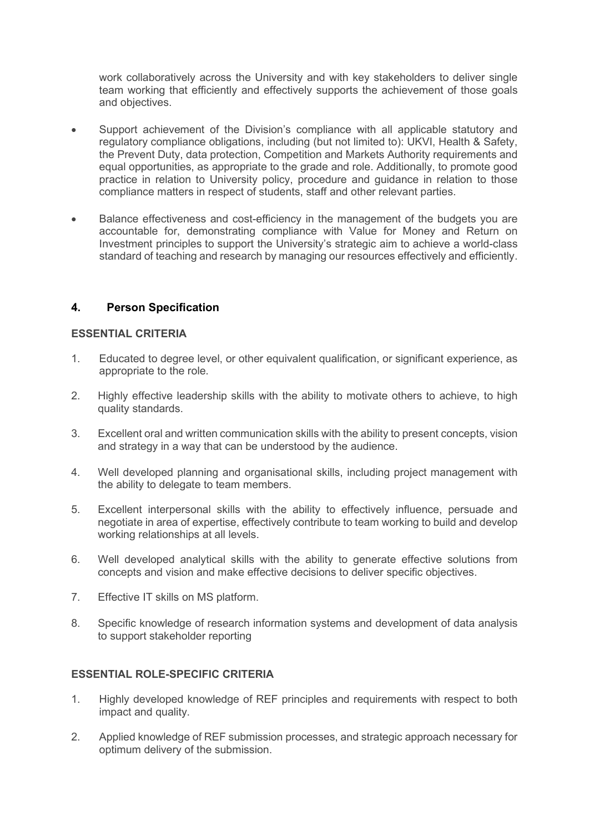work collaboratively across the University and with key stakeholders to deliver single team working that efficiently and effectively supports the achievement of those goals and objectives.

- Support achievement of the Division's compliance with all applicable statutory and regulatory compliance obligations, including (but not limited to): UKVI, Health & Safety, the Prevent Duty, data protection, Competition and Markets Authority requirements and equal opportunities, as appropriate to the grade and role. Additionally, to promote good practice in relation to University policy, procedure and guidance in relation to those compliance matters in respect of students, staff and other relevant parties.
- Balance effectiveness and cost-efficiency in the management of the budgets you are accountable for, demonstrating compliance with Value for Money and Return on Investment principles to support the University's strategic aim to achieve a world-class standard of teaching and research by managing our resources effectively and efficiently.

# **4. Person Specification**

## **ESSENTIAL CRITERIA**

- 1. Educated to degree level, or other equivalent qualification, or significant experience, as appropriate to the role.
- 2. Highly effective leadership skills with the ability to motivate others to achieve, to high quality standards.
- 3. Excellent oral and written communication skills with the ability to present concepts, vision and strategy in a way that can be understood by the audience.
- 4. Well developed planning and organisational skills, including project management with the ability to delegate to team members.
- 5. Excellent interpersonal skills with the ability to effectively influence, persuade and negotiate in area of expertise, effectively contribute to team working to build and develop working relationships at all levels.
- 6. Well developed analytical skills with the ability to generate effective solutions from concepts and vision and make effective decisions to deliver specific objectives.
- 7. Effective IT skills on MS platform.
- 8. Specific knowledge of research information systems and development of data analysis to support stakeholder reporting

## **ESSENTIAL ROLE-SPECIFIC CRITERIA**

- 1. Highly developed knowledge of REF principles and requirements with respect to both impact and quality.
- 2. Applied knowledge of REF submission processes, and strategic approach necessary for optimum delivery of the submission.